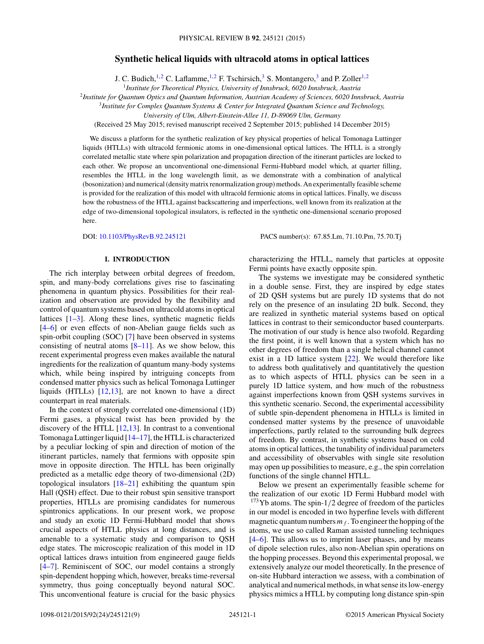# **Synthetic helical liquids with ultracold atoms in optical lattices**

J. C. Budich,<sup>1,2</sup> C. Laflamme,<sup>1,2</sup> F. Tschirsich,<sup>3</sup> S. Montangero,<sup>3</sup> and P. Zoller<sup>1,2</sup>

<sup>1</sup>*Institute for Theoretical Physics, University of Innsbruck, 6020 Innsbruck, Austria*

<sup>2</sup>*Institute for Quantum Optics and Quantum Information, Austrian Academy of Sciences, 6020 Innsbruck, Austria*

<sup>3</sup>*Institute for Complex Quantum Systems & Center for Integrated Quantum Science and Technology,*

*University of Ulm, Albert-Einstein-Allee 11, D-89069 Ulm, Germany*

(Received 25 May 2015; revised manuscript received 2 September 2015; published 14 December 2015)

We discuss a platform for the synthetic realization of key physical properties of helical Tomonaga Luttinger liquids (HTLLs) with ultracold fermionic atoms in one-dimensional optical lattices. The HTLL is a strongly correlated metallic state where spin polarization and propagation direction of the itinerant particles are locked to each other. We propose an unconventional one-dimensional Fermi-Hubbard model which, at quarter filling, resembles the HTLL in the long wavelength limit, as we demonstrate with a combination of analytical (bosonization) and numerical (density matrix renormalization group) methods. An experimentally feasible scheme is provided for the realization of this model with ultracold fermionic atoms in optical lattices. Finally, we discuss how the robustness of the HTLL against backscattering and imperfections, well known from its realization at the edge of two-dimensional topological insulators, is reflected in the synthetic one-dimensional scenario proposed here.

DOI: [10.1103/PhysRevB.92.245121](http://dx.doi.org/10.1103/PhysRevB.92.245121) PACS number(s): 67*.*85*.*Lm*,* 71*.*10*.*Pm*,* 75*.*70*.*Tj

### **I. INTRODUCTION**

The rich interplay between orbital degrees of freedom, spin, and many-body correlations gives rise to fascinating phenomena in quantum physics. Possibilities for their realization and observation are provided by the flexibility and control of quantum systems based on ultracold atoms in optical lattices [\[1–3\]](#page-7-0). Along these lines, synthetic magnetic fields [\[4–6\]](#page-7-0) or even effects of non-Abelian gauge fields such as spin-orbit coupling (SOC) [\[7\]](#page-7-0) have been observed in systems consisting of neutral atoms  $[8-11]$ . As we show below, this recent experimental progress even makes available the natural ingredients for the realization of quantum many-body systems which, while being inspired by intriguing concepts from condensed matter physics such as helical Tomonaga Luttinger liquids (HTLLs) [\[12,13\]](#page-7-0), are not known to have a direct counterpart in real materials.

In the context of strongly correlated one-dimensional (1D) Fermi gases, a physical twist has been provided by the discovery of the HTLL [\[12,13\]](#page-7-0). In contrast to a conventional Tomonaga Luttinger liquid [\[14–17\]](#page-7-0), the HTLL is characterized by a peculiar locking of spin and direction of motion of the itinerant particles, namely that fermions with opposite spin move in opposite direction. The HTLL has been originally predicted as a metallic edge theory of two-dimensional (2D) topological insulators [\[18–21\]](#page-7-0) exhibiting the quantum spin Hall (QSH) effect. Due to their robust spin sensitive transport properties, HTLLs are promising candidates for numerous spintronics applications. In our present work, we propose and study an exotic 1D Fermi-Hubbard model that shows crucial aspects of HTLL physics at long distances, and is amenable to a systematic study and comparison to QSH edge states. The microscopic realization of this model in 1D optical lattices draws intuition from engineered gauge fields [\[4–7\]](#page-7-0). Reminiscent of SOC, our model contains a strongly spin-dependent hopping which, however, breaks time-reversal symmetry, thus going conceptually beyond natural SOC. This unconventional feature is crucial for the basic physics characterizing the HTLL, namely that particles at opposite Fermi points have exactly opposite spin.

The systems we investigate may be considered synthetic in a double sense. First, they are inspired by edge states of 2D QSH systems but are purely 1D systems that do not rely on the presence of an insulating 2D bulk. Second, they are realized in synthetic material systems based on optical lattices in contrast to their semiconductor based counterparts. The motivation of our study is hence also twofold. Regarding the first point, it is well known that a system which has no other degrees of freedom than a single helical channel cannot exist in a 1D lattice system [\[22\]](#page-7-0). We would therefore like to address both qualitatively and quantitatively the question as to which aspects of HTLL physics can be seen in a purely 1D lattice system, and how much of the robustness against imperfections known from QSH systems survives in this synthetic scenario. Second, the experimental accessibility of subtle spin-dependent phenomena in HTLLs is limited in condensed matter systems by the presence of unavoidable imperfections, partly related to the surrounding bulk degrees of freedom. By contrast, in synthetic systems based on cold atoms in optical lattices, the tunability of individual parameters and accessibility of observables with single site resolution may open up possibilities to measure, e.g., the spin correlation functions of the single channel HTLL.

Below we present an experimentally feasible scheme for the realization of our exotic 1D Fermi Hubbard model with <sup>173</sup>Yb atoms. The spin-1/2 degree of freedom of the particles in our model is encoded in two hyperfine levels with different magnetic quantum numbers  $m_f$ . To engineer the hopping of the atoms, we use so called Raman assisted tunneling techniques [\[4–6\]](#page-7-0). This allows us to imprint laser phases, and by means of dipole selection rules, also non-Abelian spin operations on the hopping processes. Beyond this experimental proposal, we extensively analyze our model theoretically. In the presence of on-site Hubbard interaction we assess, with a combination of analytical and numerical methods, in what sense its low-energy physics mimics a HTLL by computing long distance spin-spin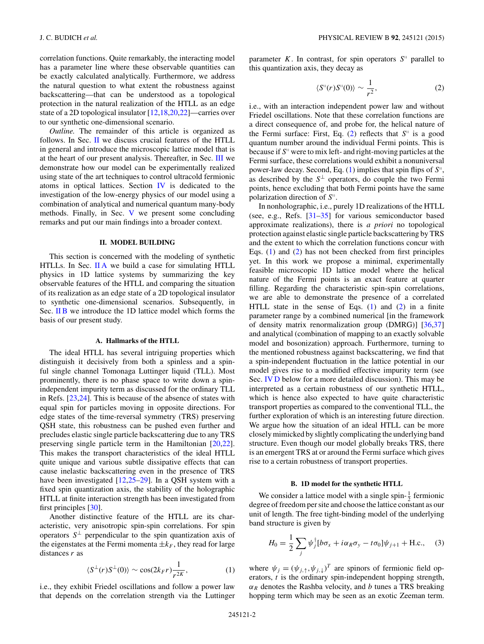<span id="page-1-0"></span>correlation functions. Quite remarkably, the interacting model has a parameter line where these observable quantities can be exactly calculated analytically. Furthermore, we address the natural question to what extent the robustness against backscattering—that can be understood as a topological protection in the natural realization of the HTLL as an edge state of a 2D topological insulator [\[12,18,20,22\]](#page-7-0)—carries over to our synthetic one-dimensional scenario.

*Outline.* The remainder of this article is organized as follows. In Sec. II we discuss crucial features of the HTLL in general and introduce the microscopic lattice model that is at the heart of our present analysis. Thereafter, in Sec. [III](#page-2-0) we demonstrate how our model can be experimentally realized using state of the art techniques to control ultracold fermionic atoms in optical lattices. Section  $\bf{IV}$  $\bf{IV}$  $\bf{IV}$  is dedicated to the investigation of the low-energy physics of our model using a combination of analytical and numerical quantum many-body methods. Finally, in Sec. [V](#page-7-0) we present some concluding remarks and put our main findings into a broader context.

## **II. MODEL BUILDING**

This section is concerned with the modeling of synthetic HTLLs. In Sec. II A we build a case for simulating HTLL physics in 1D lattice systems by summarizing the key observable features of the HTLL and comparing the situation of its realization as an edge state of a 2D topological insulator to synthetic one-dimensional scenarios. Subsequently, in Sec. II B we introduce the 1D lattice model which forms the basis of our present study.

### **A. Hallmarks of the HTLL**

The ideal HTLL has several intriguing properties which distinguish it decisively from both a spinless and a spinful single channel Tomonaga Luttinger liquid (TLL). Most prominently, there is no phase space to write down a spinindependent impurity term as discussed for the ordinary TLL in Refs. [\[23,24\]](#page-7-0). This is because of the absence of states with equal spin for particles moving in opposite directions. For edge states of the time-reversal symmetry (TRS) preserving QSH state, this robustness can be pushed even further and precludes elastic single particle backscattering due to any TRS preserving single particle term in the Hamiltonian [\[20,22\]](#page-7-0). This makes the transport characteristics of the ideal HTLL quite unique and various subtle dissipative effects that can cause inelastic backscattering even in the presence of TRS have been investigated [\[12,25–29\]](#page-7-0). In a QSH system with a fixed spin quantization axis, the stability of the holographic HTLL at finite interaction strength has been investigated from first principles [\[30\]](#page-7-0).

Another distinctive feature of the HTLL are its characteristic, very anisotropic spin-spin correlations. For spin operators  $S^{\perp}$  perpendicular to the spin quantization axis of the eigenstates at the Fermi momenta  $\pm k_F$ , they read for large distances *r* as

$$
\langle S^{\perp}(r)S^{\perp}(0)\rangle \sim \cos(2k_F r)\frac{1}{r^{2K}},\qquad(1)
$$

i.e., they exhibit Friedel oscillations and follow a power law that depends on the correlation strength via the Luttinger

parameter  $K$ . In contrast, for spin operators  $S<sup>||</sup>$  parallel to this quantization axis, they decay as

$$
\langle S^{\text{II}}(r)S^{\text{II}}(0)\rangle \sim \frac{1}{r^2},\tag{2}
$$

i.e., with an interaction independent power law and without Friedel oscillations. Note that these correlation functions are a direct consequence of, and probe for, the helical nature of the Fermi surface: First, Eq.  $(2)$  reflects that  $S<sup>||</sup>$  is a good quantum number around the individual Fermi points. This is because if  $S<sup>||</sup>$  were to mix left- and right-moving particles at the Fermi surface, these correlations would exhibit a nonuniversal power-law decay. Second, Eq. (1) implies that spin flips of  $S^{\text{II}}$ , as described by the  $S^{\perp}$  operators, do couple the two Fermi points, hence excluding that both Fermi points have the same polarization direction of  $S^{\shortparallel}$ .

In nonholographic, i.e., purely 1D realizations of the HTLL (see, e.g., Refs. [\[31–35\]](#page-7-0) for various semiconductor based approximate realizations), there is *a priori* no topological protection against elastic single particle backscattering by TRS and the extent to which the correlation functions concur with Eqs. (1) and (2) has not been checked from first principles yet. In this work we propose a minimal, experimentally feasible microscopic 1D lattice model where the helical nature of the Fermi points is an exact feature at quarter filling. Regarding the characteristic spin-spin correlations, we are able to demonstrate the presence of a correlated HTLL state in the sense of Eqs. (1) and (2) in a finite parameter range by a combined numerical [in the framework of density matrix renormalization group (DMRG)] [\[36,37\]](#page-7-0) and analytical (combination of mapping to an exactly solvable model and bosonization) approach. Furthermore, turning to the mentioned robustness against backscattering, we find that a spin-independent fluctuation in the lattice potential in our model gives rise to a modified effective impurity term (see Sec. [IV D](#page-6-0) below for a more detailed discussion). This may be interpreted as a certain robustness of our synthetic HTLL, which is hence also expected to have quite characteristic transport properties as compared to the conventional TLL, the further exploration of which is an interesting future direction. We argue how the situation of an ideal HTLL can be more closely mimicked by slightly complicating the underlying band structure. Even though our model globally breaks TRS, there is an emergent TRS at or around the Fermi surface which gives rise to a certain robustness of transport properties.

## **B. 1D model for the synthetic HTLL**

We consider a lattice model with a single spin- $\frac{1}{2}$  fermionic degree of freedom per site and choose the lattice constant as our unit of length. The free tight-binding model of the underlying band structure is given by

$$
H_0 = \frac{1}{2} \sum_j \psi_j^{\dagger} [b \sigma_x + i \alpha_R \sigma_y - t \sigma_0] \psi_{j+1} + \text{H.c.}, \quad (3)
$$

where  $\psi_j = (\psi_{j,\uparrow}, \psi_{j,\downarrow})^T$  are spinors of fermionic field operators, *t* is the ordinary spin-independent hopping strength,  $\alpha_R$  denotes the Rashba velocity, and *b* tunes a TRS breaking hopping term which may be seen as an exotic Zeeman term.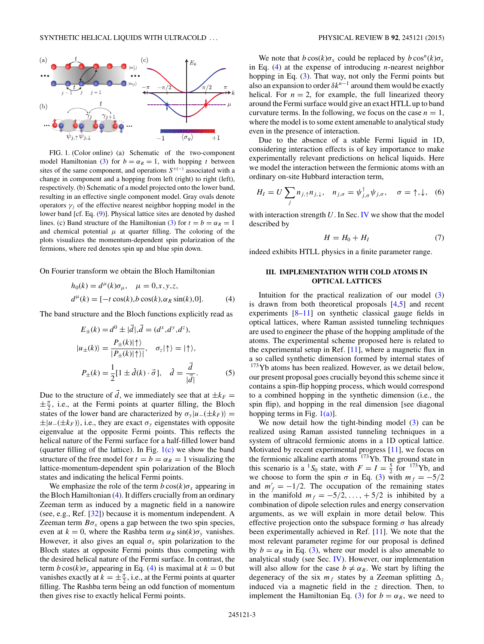<span id="page-2-0"></span>

FIG. 1. (Color online) (a) Schematic of the two-component model Hamiltonian [\(3\)](#page-1-0) for  $b = \alpha_R = 1$ , with hopping *t* between sites of the same component, and operations *S*+(−) associated with a change in component and a hopping from left (right) to right (left), respectively. (b) Schematic of a model projected onto the lower band, resulting in an effective single component model. Gray ovals denote operators  $\gamma_j$  of the effective nearest neighbor hopping model in the lower band [cf. Eq. [\(9\)](#page-4-0)]. Physical lattice sites are denoted by dashed lines. (c) Band structure of the Hamiltonian [\(3\)](#page-1-0) for  $t = b = \alpha_R = 1$ and chemical potential  $\mu$  at quarter filling. The coloring of the plots visualizes the momentum-dependent spin polarization of the fermions, where red denotes spin up and blue spin down.

On Fourier transform we obtain the Bloch Hamiltonian

$$
h_0(k) = d^{\mu}(k)\sigma_{\mu}, \quad \mu = 0, x, y, z,d^{\mu}(k) = [-t \cos(k), b \cos(k), \alpha_R \sin(k), 0].
$$
 (4)

The band structure and the Bloch functions explicitly read as

$$
E_{\pm}(k) = d^0 \pm |\vec{d}|, \vec{d} = (d^x, d^y, d^z),
$$
  
\n
$$
|u_{\pm}(k)\rangle = \frac{P_{\pm}(k)|\uparrow\rangle}{|P_{\pm}(k)|\uparrow\rangle|}, \quad \sigma_z|\uparrow\rangle = |\uparrow\rangle,
$$
  
\n
$$
P_{\pm}(k) = \frac{1}{2}[1 \pm \hat{d}(k) \cdot \vec{\sigma}], \quad \hat{d} = \frac{\vec{d}}{|\vec{d}|}.
$$
 (5)

Due to the structure of *d*, we immediately see that at  $\pm k_F =$  $\pm \frac{\pi}{2}$ , i.e., at the Fermi points at quarter filling, the Bloch states of the lower band are characterized by  $\sigma_y |u_-(\pm k_F)\rangle =$  $\pm |u_{-}(\pm k_F)\rangle$ , i.e., they are exact  $\sigma_y$  eigenstates with opposite eigenvalue at the opposite Fermi points. This reflects the helical nature of the Fermi surface for a half-filled lower band (quarter filling of the lattice). In Fig.  $1(c)$  we show the band structure of the free model for  $t = b = \alpha_R = 1$  visualizing the lattice-momentum-dependent spin polarization of the Bloch states and indicating the helical Fermi points.

We emphasize the role of the term  $b \cos(k)\sigma_x$  appearing in the Bloch Hamiltonian (4). It differs crucially from an ordinary Zeeman term as induced by a magnetic field in a nanowire (see, e.g., Ref. [\[32\]](#page-7-0)) because it is momentum independent. A Zeeman term  $B\sigma_x$  opens a gap between the two spin species, even at  $k = 0$ , where the Rashba term  $\alpha_R \sin(k)\sigma_y$  vanishes. However, it also gives an equal  $\sigma_x$  spin polarization to the Bloch states at opposite Fermi points thus competing with the desired helical nature of the Fermi surface. In contrast, the term  $b \cos(k)\sigma_x$  appearing in Eq. (4) is maximal at  $k = 0$  but vanishes exactly at  $k = \pm \frac{\pi}{2}$ , i.e., at the Fermi points at quarter filling. The Rashba term being an odd function of momentum then gives rise to exactly helical Fermi points.

We note that  $b \cos(k)\sigma_x$  could be replaced by  $b \cos^n(k)\sigma_x$ in Eq. (4) at the expense of introducing *n*-nearest neighbor hopping in Eq. [\(3\)](#page-1-0). That way, not only the Fermi points but also an expansion to order *δk<sup>n</sup>*−<sup>1</sup> around them would be exactly helical. For  $n = 2$ , for example, the full linearized theory around the Fermi surface would give an exact HTLL up to band curvature terms. In the following, we focus on the case  $n = 1$ , where the model is to some extent amenable to analytical study even in the presence of interaction.

Due to the absence of a stable Fermi liquid in 1D, considering interaction effects is of key importance to make experimentally relevant predictions on helical liquids. Here we model the interaction between the fermionic atoms with an ordinary on-site Hubbard interaction term,

$$
H_I = U \sum_j n_{j,\uparrow} n_{j,\downarrow}, \quad n_{j,\sigma} = \psi_{j,\sigma}^{\dagger} \psi_{j,\sigma}, \quad \sigma = \uparrow, \downarrow, \quad (6)
$$

with interaction strength *U*. In Sec. [IV](#page-4-0) we show that the model described by

$$
H = H_0 + H_I \tag{7}
$$

indeed exhibits HTLL physics in a finite parameter range.

# **III. IMPLEMENTATION WITH COLD ATOMS IN OPTICAL LATTICES**

Intuition for the practical realization of our model [\(3\)](#page-1-0) is drawn from both theoretical proposals  $[4,5]$  and recent experiments [\[8–11\]](#page-7-0) on synthetic classical gauge fields in optical lattices, where Raman assisted tunneling techniques are used to engineer the phase of the hopping amplitude of the atoms. The experimental scheme proposed here is related to the experimental setup in Ref. [\[11\]](#page-7-0), where a magnetic flux in a so called synthetic dimension formed by internal states of  $173$ Yb atoms has been realized. However, as we detail below, our present proposal goes crucially beyond this scheme since it contains a spin-flip hopping process, which would correspond to a combined hopping in the synthetic dimension (i.e., the spin flip), and hopping in the real dimension [see diagonal hopping terms in Fig.  $1(a)$ ].

We now detail how the tight-binding model [\(3\)](#page-1-0) can be realized using Raman assisted tunneling techniques in a system of ultracold fermionic atoms in a 1D optical lattice. Motivated by recent experimental progress [\[11\]](#page-7-0), we focus on the fermionic alkaline earth atoms  $173\text{Yb}$ . The ground state in this scenario is a <sup>1</sup>S<sub>0</sub> state, with  $F = I = \frac{5}{2}$  for <sup>173</sup>Yb, and we choose to form the spin  $\sigma$  in Eq. [\(3\)](#page-1-0) with  $m_f = -\frac{5}{2}$ and  $m'_f = -1/2$ . The occupation of the remaining states in the manifold  $m_f = -\frac{5}{2}, \ldots, +\frac{5}{2}$  is inhibited by a combination of dipole selection rules and energy conservation arguments, as we will explain in more detail below. This effective projection onto the subspace forming  $\sigma$  has already been experimentally achieved in Ref. [\[11\]](#page-7-0). We note that the most relevant parameter regime for our proposal is defined by  $b = \alpha_R$  in Eq. [\(3\)](#page-1-0), where our model is also amenable to analytical study (see Sec. [IV\)](#page-4-0). However, our implementation will also allow for the case  $b \neq \alpha_R$ . We start by lifting the degeneracy of the six  $m_f$  states by a Zeeman splitting  $\Delta_z$ induced via a magnetic field in the *z* direction. Then, to implement the Hamiltonian Eq. [\(3\)](#page-1-0) for  $b = \alpha_R$ , we need to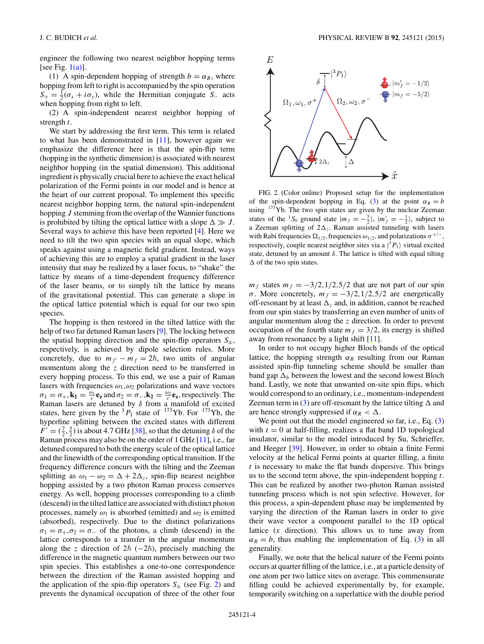(1) A spin-dependent hopping of strength  $b = \alpha_R$ , where hopping from left to right is accompanied by the spin operation  $S_+ = \frac{1}{2} (\sigma_x + i \sigma_y)$ , while the Hermitian conjugate *S*− acts when hopping from right to left.

(2) A spin-independent nearest neighbor hopping of strength *t*.

We start by addressing the first term. This term is related to what has been demonstrated in [\[11\]](#page-7-0), however again we emphasize the difference here is that the spin-flip term (hopping in the synthetic dimension) is associated with nearest neighbor hopping (in the spatial dimension). This additional ingredient is physically crucial here to achieve the exact helical polarization of the Fermi points in our model and is hence at the heart of our current proposal. To implement this specific nearest neighbor hopping term, the natural spin-independent hopping *J* stemming from the overlap of the Wannier functions is prohibited by tilting the optical lattice with a slope  $\Delta \gg J$ . Several ways to achieve this have been reported [\[4\]](#page-7-0). Here we need to tilt the two spin species with an equal slope, which speaks against using a magnetic field gradient. Instead, ways of achieving this are to employ a spatial gradient in the laser intensity that may be realized by a laser focus, to "shake" the lattice by means of a time-dependent frequency difference of the laser beams, or to simply tilt the lattice by means of the gravitational potential. This can generate a slope in the optical lattice potential which is equal for our two spin species.

The hopping is then restored in the tilted lattice with the help of two far detuned Raman lasers [\[9\]](#page-7-0). The locking between the spatial hopping direction and the spin-flip operators  $S_{\pm}$ , respectively, is achieved by dipole selection rules. More concretely, due to  $m_f - m_f = 2\hbar$ , two units of angular momentum along the *z* direction need to be transferred in every hopping process. To this end, we use a pair of Raman lasers with frequencies *ω*1*,ω*<sup>2</sup> polarizations and wave vectors  $\sigma_1 = \sigma_+$ ,  $\mathbf{k}_1 = \frac{\omega_1}{c} \mathbf{e}_z$  and  $\sigma_2 = \sigma_-$ ,  $\mathbf{k}_2 = \frac{\omega_2}{c} \mathbf{e}_z$ , respectively. The Raman lasers are detuned by *δ* from a manifold of excited states, here given by the  ${}^{3}P_{1}$  state of  ${}^{173}Yb$ . For  ${}^{173}Yb$ , the hyperfine splitting between the excited states with different  $F' = (\frac{7}{2}, \frac{5}{2})$  is about 4.7 GHz [\[38\]](#page-7-0), so that the detuning  $\delta$  of the Raman process may also be on the order of 1 GHz [\[11\]](#page-7-0), i.e., far detuned compared to both the energy scale of the optical lattice and the linewidth of the corresponding optical transition. If the frequency difference concurs with the tilting and the Zeeman splitting as  $\omega_1 - \omega_2 = \Delta + 2\Delta_z$ , spin-flip nearest neighbor hopping assisted by a two photon Raman process conserves energy. As well, hopping processes corresponding to a climb (descend) in the tilted lattice are associated with distinct photon processes, namely  $\omega_1$  is absorbed (emitted) and  $\omega_2$  is emitted (absorbed), respectively. Due to the distinct polarizations  $\sigma_1 = \sigma_+$ ,  $\sigma_2 = \sigma_-$  of the photons, a climb (descend) in the lattice corresponds to a transfer in the angular momentum along the *z* direction of  $2\hbar$  (-2 $\hbar$ ), precisely matching the difference in the magnetic quantum numbers between our two spin species. This establishes a one-to-one correspondence between the direction of the Raman assisted hopping and the application of the spin-flip operators  $S_{\pm}$  (see Fig. 2) and prevents the dynamical occupation of three of the other four



FIG. 2. (Color online) Proposed setup for the implementation of the spin-dependent hopping in Eq. [\(3\)](#page-1-0) at the point  $\alpha_R = b$ using  $173$ Yb. The two spin states are given by the nuclear Zeeman states of the <sup>1</sup>S<sub>0</sub> ground state  $|m_f = -\frac{5}{2}\rangle$ ,  $|m'_f = -\frac{1}{2}\rangle$ , subject to a Zeeman splitting of  $2\Delta_z$ . Raman assisted tunneling with lasers with Rabi frequencies  $\Omega_{1/2}$ , frequencies  $\omega_{1/2}$ , and polarizations  $\sigma^{+/-}$ , respectively, couple nearest neighbor sites via a  $|{}^{3}P_{1}$  virtual excited state, detuned by an amount  $\delta$ . The lattice is tilted with equal tilting  $\Delta$  of the two spin states.

*m<sub>f</sub>* states  $m_f = -\frac{3}{2}$ ,  $\frac{1}{2}$ ,  $\frac{5}{2}$  that are not part of our spin *σ*. More concretely,  $m_f = -\frac{3}{2}, \frac{1}{2}, \frac{5}{2}$  are energetically off-resonant by at least  $\Delta_z$  and, in addition, cannot be reached from our spin states by transferring an even number of units of angular momentum along the *z* direction. In order to prevent occupation of the fourth state  $m_f = 3/2$ , its energy is shifted away from resonance by a light shift [\[11\]](#page-7-0).

In order to not occupy higher Bloch bands of the optical lattice, the hopping strength  $\alpha_R$  resulting from our Raman assisted spin-flip tunneling scheme should be smaller than band gap  $\Delta_b$  between the lowest and the second lowest Bloch band. Lastly, we note that unwanted on-site spin flips, which would correspond to an ordinary, i.e., momentum-independent Zeeman term in [\(3\)](#page-1-0) are off-resonant by the lattice tilting  $\Delta$  and are hence strongly suppressed if  $\alpha_R < \Delta$ .

We point out that the model engineered so far, i.e., Eq.  $(3)$ with  $t = 0$  at half-filling, realizes a flat band 1D topological insulator, similar to the model introduced by Su, Schrieffer, and Heeger [\[39\]](#page-8-0). However, in order to obtain a finite Fermi velocity at the helical Fermi points at quarter filling, a finite *t* is necessary to make the flat bands dispersive. This brings us to the second term above, the spin-independent hopping *t*. This can be realized by another two-photon Raman assisted tunneling process which is not spin selective. However, for this process, a spin-dependent phase may be implemented by varying the direction of the Raman lasers in order to give their wave vector a component parallel to the 1D optical lattice (*x* direction). This allows us to tune away from  $\alpha_R = b$ , thus enabling the implementation of Eq. [\(3\)](#page-1-0) in all generality.

Finally, we note that the helical nature of the Fermi points occurs at quarter filling of the lattice, i.e., at a particle density of one atom per two lattice sites on average. This commensurate filling could be achieved experimentally by, for example, temporarily switching on a superlattice with the double period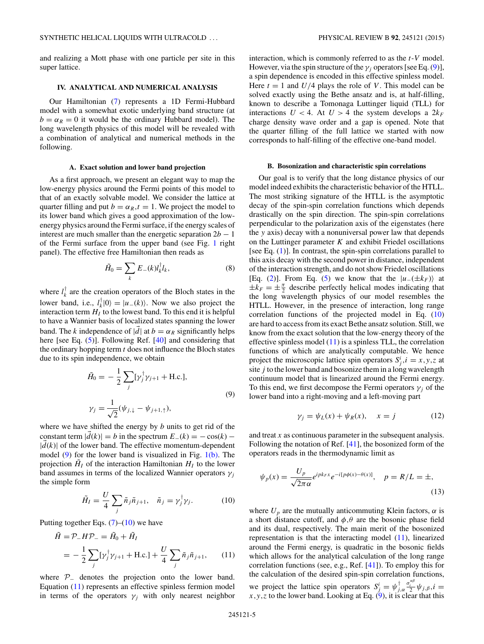<span id="page-4-0"></span>and realizing a Mott phase with one particle per site in this super lattice.

### **IV. ANALYTICAL AND NUMERICAL ANALYSIS**

Our Hamiltonian [\(7\)](#page-2-0) represents a 1D Fermi-Hubbard model with a somewhat exotic underlying band structure (at  $b = \alpha_R = 0$  it would be the ordinary Hubbard model). The long wavelength physics of this model will be revealed with a combination of analytical and numerical methods in the following.

#### **A. Exact solution and lower band projection**

As a first approach, we present an elegant way to map the low-energy physics around the Fermi points of this model to that of an exactly solvable model. We consider the lattice at quarter filling and put  $b = \alpha_R$ ,  $t = 1$ . We project the model to its lower band which gives a good approximation of the lowenergy physics around the Fermi surface, if the energy scales of interest are much smaller than the energetic separation  $2b - 1$ of the Fermi surface from the upper band (see Fig. [1](#page-2-0) right panel). The effective free Hamiltonian then reads as

$$
\tilde{H}_0 = \sum_k E_-(k) l_k^\dagger l_k,\tag{8}
$$

where  $l_k^{\dagger}$  are the creation operators of the Bloch states in the lower band, i.e.,  $l_k^{\dagger} |0\rangle = |u_-(k)\rangle$ . Now we also project the interaction term  $H_I$  to the lowest band. To this end it is helpful to have a Wannier basis of localized states spanning the lower band. The *k* independence of  $|d|$  at  $b = \alpha_R$  significantly helps here [see Eq. [\(5\)](#page-2-0)]. Following Ref. [\[40\]](#page-8-0) and considering that the ordinary hopping term *t* does not influence the Bloch states due to its spin independence, we obtain

$$
\tilde{H}_0 = -\frac{1}{2} \sum_j [\gamma_j^{\dagger} \gamma_{j+1} + \text{H.c.}],
$$
  

$$
\gamma_j = \frac{1}{\sqrt{2}} (\psi_{j,\downarrow} - \psi_{j+1,\uparrow}),
$$
 (9)

where we have shifted the energy by *b* units to get rid of the constant term  $|\vec{d}(k)| = b$  in the spectrum  $E_-(k) = -\cos(k) |d(k)|$  of the lower band. The effective momentum-dependent model  $(9)$  for the lower band is visualized in Fig.  $1(b)$ . The projection  $H_I$  of the interaction Hamiltonian  $H_I$  to the lower band assumes in terms of the localized Wannier operators  $\gamma_j$ the simple form

$$
\tilde{H}_I = \frac{U}{4} \sum_j \tilde{n}_j \tilde{n}_{j+1}, \quad \tilde{n}_j = \gamma_j^{\dagger} \gamma_j. \tag{10}
$$

Putting together Eqs.  $(7)-(10)$  $(7)-(10)$  we have

$$
\tilde{H} = \mathcal{P}_{-}H\mathcal{P}_{-} = \tilde{H}_{0} + \tilde{H}_{I}
$$
\n
$$
= -\frac{1}{2}\sum_{j} [\gamma_{j}^{\dagger}\gamma_{j+1} + \text{H.c.}] + \frac{U}{4}\sum_{j} \tilde{n}_{j}\tilde{n}_{j+1}, \qquad (11)
$$

where  $\mathcal{P}_-$  denotes the projection onto the lower band. Equation (11) represents an effective spinless fermion model in terms of the operators  $\gamma_j$  with only nearest neighbor interaction, which is commonly referred to as the *t*-*V* model.

However, via the spin structure of the  $\gamma_i$  operators [see Eq. (9)], a spin dependence is encoded in this effective spinless model. Here  $t = 1$  and  $U/4$  plays the role of *V*. This model can be solved exactly using the Bethe ansatz and is, at half-filling, known to describe a Tomonaga Luttinger liquid (TLL) for interactions  $U < 4$ . At  $U > 4$  the system develops a  $2k_F$ charge density wave order and a gap is opened. Note that the quarter filling of the full lattice we started with now corresponds to half-filling of the effective one-band model.

# **B. Bosonization and characteristic spin correlations**

Our goal is to verify that the long distance physics of our model indeed exhibits the characteristic behavior of the HTLL. The most striking signature of the HTLL is the asymptotic decay of the spin-spin correlation functions which depends drastically on the spin direction. The spin-spin correlations perpendicular to the polarization axis of the eigenstates (here the *y* axis) decay with a nonuniversal power law that depends on the Luttinger parameter  $K$  and exhibit Friedel oscillations [see Eq.  $(1)$ ]. In contrast, the spin-spin correlations parallel to this axis decay with the second power in distance, independent of the interaction strength, and do not show Friedel oscillations [Eq. [\(2\)](#page-1-0)]. From Eq. [\(5\)](#page-2-0) we know that the  $|u_-(\pm k_F)\rangle$  at  $\pm k_F = \pm \frac{\pi}{2}$  describe perfectly helical modes indicating that the long wavelength physics of our model resembles the HTLL. However, in the presence of interaction, long range correlation functions of the projected model in Eq. (10) are hard to access from its exact Bethe ansatz solution. Still, we know from the exact solution that the low-energy theory of the effective spinless model  $(11)$  is a spinless TLL, the correlation functions of which are analytically computable. We hence project the microscopic lattice spin operators  $S_j^i$ ,  $i = x, y, z$  at site *j* to the lower band and bosonize them in a long wavelength continuum model that is linearized around the Fermi energy. To this end, we first decompose the Fermi operators  $\gamma_i$  of the lower band into a right-moving and a left-moving part

$$
\gamma_j = \psi_L(x) + \psi_R(x), \quad x = j \tag{12}
$$

and treat *x* as continuous parameter in the subsequent analysis. Following the notation of Ref. [\[41\]](#page-8-0), the bosonized form of the operators reads in the thermodynamic limit as

$$
\psi_p(x) = \frac{U_p}{\sqrt{2\pi\alpha}} e^{ipk_F x} e^{-i[p\phi(x) - \theta(x)]}, \quad p = R/L = \pm,
$$
\n(13)

where  $U_p$  are the mutually anticommuting Klein factors,  $\alpha$  is a short distance cutoff, and  $\phi$ ,  $\theta$  are the bosonic phase field and its dual, respectively. The main merit of the bosonized representation is that the interacting model (11), linearized around the Fermi energy, is quadratic in the bosonic fields which allows for the analytical calculation of the long range correlation functions (see, e.g., Ref. [\[41\]](#page-8-0)). To employ this for the calculation of the desired spin-spin correlation functions, we project the lattice spin operators  $S^i_j = \psi^{\dagger}_{j,\alpha}$  $\frac{\sigma_i^{\alpha\beta}}{2}\psi_{j,\beta}, i=$  $x, y, z$  to the lower band. Looking at Eq.  $(9)$ , it is clear that this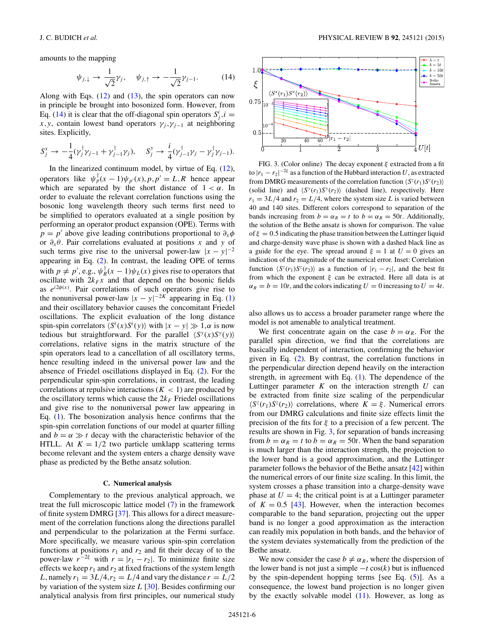amounts to the mapping

$$
\psi_{j,\downarrow} \to \frac{1}{\sqrt{2}} \gamma_j, \quad \psi_{j,\uparrow} \to -\frac{1}{\sqrt{2}} \gamma_{j-1}.
$$
 (14)

Along with Eqs.  $(12)$  and  $(13)$ , the spin operators can now in principle be brought into bosonized form. However, from Eq. (14) it is clear that the off-diagonal spin operators  $S_j^i$ ,  $i =$ *x,y*, contain lowest band operators  $\gamma_i$ ,  $\gamma_{i-1}$  at neighboring sites. Explicitly,

$$
S_j^x \to -\frac{1}{4}(\gamma_j^{\dagger}\gamma_{j-1} + \gamma_{j-1}^{\dagger}\gamma_j), \quad S_j^y \to \frac{i}{4}(\gamma_{j-1}^{\dagger}\gamma_j - \gamma_j^{\dagger}\gamma_{j-1}).
$$

In the linearized continuum model, by virtue of Eq. [\(12\)](#page-4-0), operators like  $\psi_p^{\dagger}(x-1)\psi_{p'}(x), p, p' = L, R$  hence appear which are separated by the short distance of  $1 < \alpha$ . In order to evaluate the relevant correlation functions using the bosonic long wavelength theory such terms first need to be simplified to operators evaluated at a single position by performing an operator product expansion (OPE). Terms with  $p = p'$  above give leading contributions proportional to  $\partial_x \phi$ or *∂x θ*. Pair correlations evaluated at positions *x* and *y* of such terms give rise to the universal power-law  $|x - y|^{-2}$ appearing in Eq. [\(2\)](#page-1-0). In contrast, the leading OPE of terms with  $p \neq p'$ , e.g.,  $\psi_R^{\dagger}(x-1)\psi_L(x)$  gives rise to operators that oscillate with  $2k_F x$  and that depend on the bosonic fields as  $e^{i2\phi(x)}$ . Pair correlations of such operators give rise to the nonuniversal power-law  $|x - y|^{-2K}$  appearing in Eq. [\(1\)](#page-1-0) and their oscillatory behavior causes the concomitant Friedel oscillations. The explicit evaluation of the long distance spin-spin correlators  $\langle S^i(x)S^i(y) \rangle$  with  $|x - y| \gg 1, \alpha$  is now tedious but straightforward. For the parallel  $\langle S^y(x)S^y(y) \rangle$ correlations, relative signs in the matrix structure of the spin operators lead to a cancellation of all oscillatory terms, hence resulting indeed in the universal power law and the absence of Friedel oscillations displayed in Eq. [\(2\)](#page-1-0). For the perpendicular spin-spin correlations, in contrast, the leading correlations at repulsive interactions  $(K < 1)$  are produced by the oscillatory terms which cause the  $2k_F$  Friedel oscillations and give rise to the nonuniversal power law appearing in Eq. [\(1\)](#page-1-0). The bosonization analysis hence confirms that the spin-spin correlation functions of our model at quarter filling and  $b = \alpha \gg t$  decay with the characteristic behavior of the HTLL. At  $K = 1/2$  two particle umklapp scattering terms become relevant and the system enters a charge density wave phase as predicted by the Bethe ansatz solution.

# **C. Numerical analysis**

Complementary to the previous analytical approach, we treat the full microscopic lattice model [\(7\)](#page-2-0) in the framework of finite system DMRG [\[37\]](#page-7-0). This allows for a direct measurement of the correlation functions along the directions parallel and perpendicular to the polarization at the Fermi surface. More specifically, we measure various spin-spin correlation functions at positions  $r_1$  and  $r_2$  and fit their decay of to the power-law  $r^{-2\xi}$  with  $r = |r_1 - r_2|$ . To minimize finite size effects we keep  $r_1$  and  $r_2$  at fixed fractions of the system length *L*, namely  $r_1 = 3L/4$ ,  $r_2 = L/4$  and vary the distance  $r = L/2$ by variation of the system size *L* [\[30\]](#page-7-0). Besides confirming our analytical analysis from first principles, our numerical study



FIG. 3. (Color online) The decay exponent *ξ* extracted from a fit to  $|r_1 - r_2|^{-2\xi}$  as a function of the Hubbard interaction *U*, as extracted from DMRG measurements of the correlation function  $\langle S^z(r_1)S^z(r_2) \rangle$ (solid line) and  $\langle S^{y}(r_1)S^{y}(r_2) \rangle$  (dashed line), respectively. Here  $r_1 = 3L/4$  and  $r_2 = L/4$ , where the system size *L* is varied between 40 and 140 sites. Different colors correspond to separation of the bands increasing from  $b = \alpha_R = t$  to  $b = \alpha_R = 50t$ . Additionally, the solution of the Bethe ansatz is shown for comparison. The value of  $\xi = 0.5$  indicating the phase transition between the Luttinger liquid and charge-density wave phase is shown with a dashed black line as a guide for the eye. The spread around  $\xi = 1$  at  $U = 0$  gives an indication of the magnitude of the numerical error. Inset: Correlation function  $\langle S^z(r_1)S^z(r_2) \rangle$  as a function of  $|r_1 - r_2|$ , and the best fit from which the exponent *ξ* can be extracted. Here all data is at  $\alpha_R = b = 10t$ , and the colors indicating  $U = 0$  increasing to  $U = 4t$ .

also allows us to access a broader parameter range where the model is not amenable to analytical treatment.

We first concentrate again on the case  $b = \alpha_R$ . For the parallel spin direction, we find that the correlations are basically independent of interaction, confirming the behavior given in Eq. [\(2\)](#page-1-0). By contrast, the correlation functions in the perpendicular direction depend heavily on the interaction strength, in agreement with Eq.  $(1)$ . The dependence of the Luttinger parameter  $K$  on the interaction strength  $U$  can be extracted from finite size scaling of the perpendicular  $\langle S^z(r_1)S^z(r_2) \rangle$  correlations, where  $K = \xi$ . Numerical errors from our DMRG calculations and finite size effects limit the precision of the fits for *ξ* to a precision of a few percent. The results are shown in Fig. 3, for separation of bands increasing from  $b = \alpha_R = t$  to  $b = \alpha_R = 50t$ . When the band separation is much larger than the interaction strength, the projection to the lower band is a good approximation, and the Luttinger parameter follows the behavior of the Bethe ansatz [\[42\]](#page-8-0) within the numerical errors of our finite size scaling. In this limit, the system crosses a phase transition into a charge-density wave phase at  $U = 4$ ; the critical point is at a Luttinger parameter of  $K = 0.5$  [\[43\]](#page-8-0). However, when the interaction becomes comparable to the band separation, projecting out the upper band is no longer a good approximation as the interaction can readily mix population in both bands, and the behavior of the system deviates systematically from the prediction of the Bethe ansatz.

We now consider the case  $b \neq \alpha_R$ , where the dispersion of the lower band is not just a simple −*t* cos(*k*) but is influenced by the spin-dependent hopping terms [see Eq.  $(5)$ ]. As a consequence, the lowest band projection is no longer given by the exactly solvable model  $(11)$ . However, as long as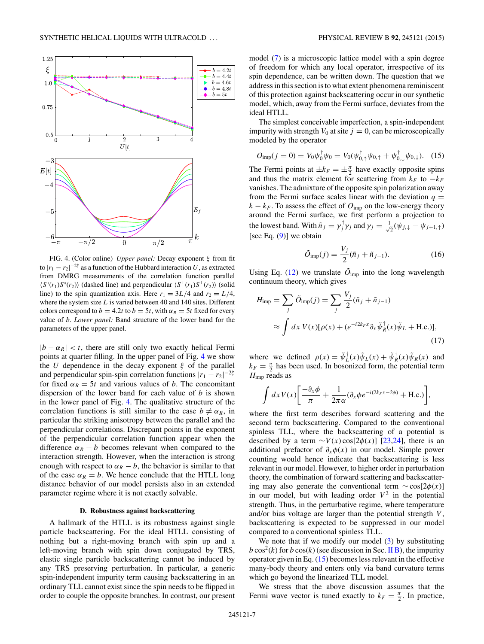<span id="page-6-0"></span>

FIG. 4. (Color online) *Upper panel:* Decay exponent *ξ* from fit to  $|r_1 - r_2|^{-2\xi}$  as a function of the Hubbard interaction *U*, as extracted from DMRG measurements of the correlation function parallel  $\langle S''(r_1)S''(r_2) \rangle$  (dashed line) and perpendicular  $\langle S^{\perp}(r_1)S^{\perp}(r_2) \rangle$  (solid line) to the spin quantization axis. Here  $r_1 = 3L/4$  and  $r_2 = L/4$ , where the system size *L* is varied between 40 and 140 sites. Different colors correspond to  $b = 4.2t$  to  $b = 5t$ , with  $\alpha_R = 5t$  fixed for every value of *b*. *Lower panel:* Band structure of the lower band for the parameters of the upper panel.

 $|b - \alpha_R|$  < *t*, there are still only two exactly helical Fermi points at quarter filling. In the upper panel of Fig. 4 we show the *U* dependence in the decay exponent *ξ* of the parallel and perpendicular spin-spin correlation functions  $|r_1 - r_2|^{-2\xi}$ for fixed  $\alpha_R = 5t$  and various values of *b*. The concomitant dispersion of the lower band for each value of *b* is shown in the lower panel of Fig. 4. The qualitative structure of the correlation functions is still similar to the case  $b \neq \alpha_R$ , in particular the striking anisotropy between the parallel and the perpendicular correlations. Discrepant points in the exponent of the perpendicular correlation function appear when the difference  $\alpha_R - b$  becomes relevant when compared to the interaction strength. However, when the interaction is strong enough with respect to  $\alpha_R - b$ , the behavior is similar to that of the case  $\alpha_R = b$ . We hence conclude that the HTLL long distance behavior of our model persists also in an extended parameter regime where it is not exactly solvable.

## **D. Robustness against backscattering**

A hallmark of the HTLL is its robustness against single particle backscattering. For the ideal HTLL consisting of nothing but a right-moving branch with spin up and a left-moving branch with spin down conjugated by TRS, elastic single particle backscattering cannot be induced by any TRS preserving perturbation. In particular, a generic spin-independent impurity term causing backscattering in an ordinary TLL cannot exist since the spin needs to be flipped in order to couple the opposite branches. In contrast, our present model [\(7\)](#page-2-0) is a microscopic lattice model with a spin degree of freedom for which any local operator, irrespective of its spin dependence, can be written down. The question that we address in this section is to what extent phenomena reminiscent of this protection against backscattering occur in our synthetic model, which, away from the Fermi surface, deviates from the ideal HTLL.

The simplest conceivable imperfection, a spin-independent impurity with strength  $V_0$  at site  $j = 0$ , can be microscopically modeled by the operator

$$
O_{\text{imp}}(j=0) = V_0 \psi_0^{\dagger} \psi_0 = V_0 (\psi_{0,\uparrow}^{\dagger} \psi_{0,\uparrow} + \psi_{0,\downarrow}^{\dagger} \psi_{0,\downarrow}). \quad (15)
$$

The Fermi points at  $\pm k_F = \pm \frac{\pi}{2}$  have exactly opposite spins and thus the matrix element for scattering from  $k_F$  to  $-k_F$ vanishes. The admixture of the opposite spin polarization away from the Fermi surface scales linear with the deviation  $q =$  $k - k_F$ . To assess the effect of  $O_{\text{imp}}$  on the low-energy theory around the Fermi surface, we first perform a projection to the lowest band. With  $\tilde{n}_j = \gamma_j^{\dagger} \gamma_j$  and  $\gamma_j = \frac{1}{\sqrt{j}}$  $\overline{2}(\psi_{j,\downarrow}-\psi_{j+1,\uparrow})$ [see Eq.  $(9)$ ] we obtain

$$
\tilde{O}_{\text{imp}}(j) = \frac{V_j}{2} (\tilde{n}_j + \tilde{n}_{j-1}).
$$
\n(16)

Using Eq. [\(12\)](#page-4-0) we translate  $\tilde{O}_{\text{imp}}$  into the long wavelength continuum theory, which gives

$$
H_{\text{imp}} = \sum_{j} \tilde{O}_{\text{imp}}(j) = \sum_{j} \frac{V_j}{2} (\tilde{n}_j + \tilde{n}_{j-1})
$$
  
 
$$
\approx \int dx \ V(x) [\rho(x) + (e^{-i2k_F x} \partial_x \tilde{\psi}_R^{\dagger}(x) \tilde{\psi}_L + \text{H.c.})], \tag{17}
$$

where we defined  $\rho(x) = \tilde{\psi}_L^{\dagger}(x)\tilde{\psi}_L(x) + \tilde{\psi}_R^{\dagger}(x)\tilde{\psi}_R(x)$  and  $k_F = \frac{\pi}{2}$  has been used. In bosonized form, the potential term *H*imp reads as

$$
\int dx V(x) \left[ \frac{-\partial_x \phi}{\pi} + \frac{1}{2\pi \alpha} (\partial_x \phi e^{-i(2k_F x - 2\phi)} + \text{H.c.}) \right],
$$

where the first term describes forward scattering and the second term backscattering. Compared to the conventional spinless TLL, where the backscattering of a potential is described by a term  $\sim V(x) \cos[2\phi(x)]$  [\[23,24\]](#page-7-0), there is an additional prefactor of  $\partial_x \phi(x)$  in our model. Simple power counting would hence indicate that backscattering is less relevant in our model. However, to higher order in perturbation theory, the combination of forward scattering and backscattering may also generate the conventional term ∼ cos[2*φ*(*x*)] in our model, but with leading order  $V^2$  in the potential strength. Thus, in the perturbative regime, where temperature and/or bias voltage are larger than the potential strength *V* , backscattering is expected to be suppressed in our model compared to a conventional spinless TLL.

We note that if we modify our model  $(3)$  by substituting  $b \cos^2(k)$  for  $b \cos(k)$  (see discussion in Sec. [II B\)](#page-1-0), the impurity operator given in Eq.  $(15)$  becomes less relevant in the effective many-body theory and enters only via band curvature terms which go beyond the linearized TLL model.

We stress that the above discussion assumes that the Fermi wave vector is tuned exactly to  $k_F = \frac{\pi}{2}$ . In practice,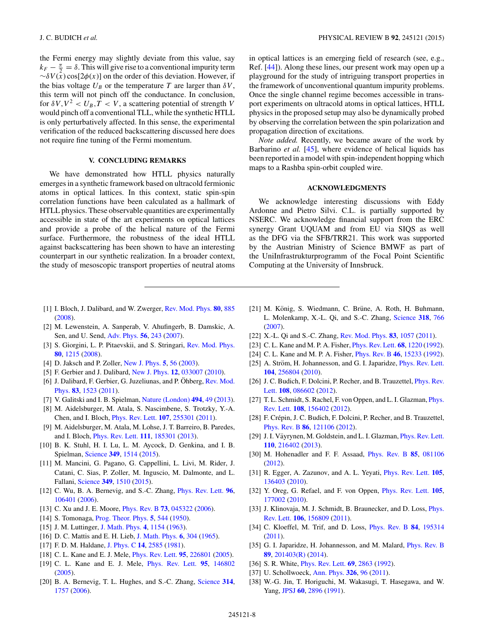<span id="page-7-0"></span>the Fermi energy may slightly deviate from this value, say  $k_F - \frac{\pi}{2} = \delta$ . This will give rise to a conventional impurity term ∼*δV* (*x*) cos[2*φ*(*x*)] on the order of this deviation. However, if the bias voltage  $U_B$  or the temperature *T* are larger than  $\delta V$ , this term will not pinch off the conductance. In conclusion, for  $\delta V, V^2 < U_B, T < V$ , a scattering potential of strength *V* would pinch off a conventional TLL, while the synthetic HTLL is only perturbatively affected. In this sense, the experimental verification of the reduced backscattering discussed here does not require fine tuning of the Fermi momentum.

### **V. CONCLUDING REMARKS**

We have demonstrated how HTLL physics naturally emerges in a synthetic framework based on ultracold fermionic atoms in optical lattices. In this context, static spin-spin correlation functions have been calculated as a hallmark of HTLL physics. These observable quantities are experimentally accessible in state of the art experiments on optical lattices and provide a probe of the helical nature of the Fermi surface. Furthermore, the robustness of the ideal HTLL against backscattering has been shown to have an interesting counterpart in our synthetic realization. In a broader context, the study of mesoscopic transport properties of neutral atoms

- [1] I. Bloch, J. Dalibard, and W. Zwerger, [Rev. Mod. Phys.](http://dx.doi.org/10.1103/RevModPhys.80.885) **[80](http://dx.doi.org/10.1103/RevModPhys.80.885)**, [885](http://dx.doi.org/10.1103/RevModPhys.80.885) [\(2008\)](http://dx.doi.org/10.1103/RevModPhys.80.885).
- [2] M. Lewenstein, A. Sanperab, V. Ahufingerb, B. Damskic, A. Sen, and U. Send, [Adv. Phys.](http://dx.doi.org/10.1080/00018730701223200) **[56](http://dx.doi.org/10.1080/00018730701223200)**, [243](http://dx.doi.org/10.1080/00018730701223200) [\(2007\)](http://dx.doi.org/10.1080/00018730701223200).
- [3] S. Giorgini, L. P. Pitaevskii, and S. Stringari, [Rev. Mod. Phys.](http://dx.doi.org/10.1103/RevModPhys.80.1215) **[80](http://dx.doi.org/10.1103/RevModPhys.80.1215)**, [1215](http://dx.doi.org/10.1103/RevModPhys.80.1215) [\(2008\)](http://dx.doi.org/10.1103/RevModPhys.80.1215).
- [4] D. Jaksch and P. Zoller, [New J. Phys.](http://dx.doi.org/10.1088/1367-2630/5/1/356) **[5](http://dx.doi.org/10.1088/1367-2630/5/1/356)**, [56](http://dx.doi.org/10.1088/1367-2630/5/1/356) [\(2003\)](http://dx.doi.org/10.1088/1367-2630/5/1/356).
- [5] F. Gerbier and J. Dalibard, [New J. Phys.](http://dx.doi.org/10.1088/1367-2630/12/3/033007) **[12](http://dx.doi.org/10.1088/1367-2630/12/3/033007)**, [033007](http://dx.doi.org/10.1088/1367-2630/12/3/033007) [\(2010\)](http://dx.doi.org/10.1088/1367-2630/12/3/033007).
- [6] [J. Dalibard, F. Gerbier, G. Juzeliunas, and P.](http://dx.doi.org/10.1103/RevModPhys.83.1523) Ohberg, Rev. Mod. Phys. **[83](http://dx.doi.org/10.1103/RevModPhys.83.1523)**, [1523](http://dx.doi.org/10.1103/RevModPhys.83.1523) [\(2011\)](http://dx.doi.org/10.1103/RevModPhys.83.1523).
- [7] V. Galitski and I. B. Spielman, [Nature \(London\)](http://dx.doi.org/10.1038/nature11841) **[494](http://dx.doi.org/10.1038/nature11841)**, [49](http://dx.doi.org/10.1038/nature11841) [\(2013\)](http://dx.doi.org/10.1038/nature11841).
- [8] M. Aidelsburger, M. Atala, S. Nascimbene, S. Trotzky, Y.-A. Chen, and I. Bloch, [Phys. Rev. Lett.](http://dx.doi.org/10.1103/PhysRevLett.107.255301) **[107](http://dx.doi.org/10.1103/PhysRevLett.107.255301)**, [255301](http://dx.doi.org/10.1103/PhysRevLett.107.255301) [\(2011\)](http://dx.doi.org/10.1103/PhysRevLett.107.255301).
- [9] M. Aidelsburger, M. Atala, M. Lohse, J. T. Barreiro, B. Paredes, and I. Bloch, [Phys. Rev. Lett.](http://dx.doi.org/10.1103/PhysRevLett.111.185301) **[111](http://dx.doi.org/10.1103/PhysRevLett.111.185301)**, [185301](http://dx.doi.org/10.1103/PhysRevLett.111.185301) [\(2013\)](http://dx.doi.org/10.1103/PhysRevLett.111.185301).
- [10] B. K. Stuhl, H. I. Lu, L. M. Aycock, D. Genkina, and I. B. Spielman, [Science](http://dx.doi.org/10.1126/science.aaa8515) **[349](http://dx.doi.org/10.1126/science.aaa8515)**, [1514](http://dx.doi.org/10.1126/science.aaa8515) [\(2015\)](http://dx.doi.org/10.1126/science.aaa8515).
- [11] M. Mancini, G. Pagano, G. Cappellini, L. Livi, M. Rider, J. Catani, C. Sias, P. Zoller, M. Inguscio, M. Dalmonte, and L. Fallani, [Science](http://dx.doi.org/10.1126/science.aaa8736) **[349](http://dx.doi.org/10.1126/science.aaa8736)**, [1510](http://dx.doi.org/10.1126/science.aaa8736) [\(2015\)](http://dx.doi.org/10.1126/science.aaa8736).
- [12] C. Wu, B. A. Bernevig, and S.-C. Zhang, [Phys. Rev. Lett.](http://dx.doi.org/10.1103/PhysRevLett.96.106401) **[96](http://dx.doi.org/10.1103/PhysRevLett.96.106401)**, [106401](http://dx.doi.org/10.1103/PhysRevLett.96.106401) [\(2006\)](http://dx.doi.org/10.1103/PhysRevLett.96.106401).
- [13] C. Xu and J. E. Moore, [Phys. Rev. B](http://dx.doi.org/10.1103/PhysRevB.73.045322) **[73](http://dx.doi.org/10.1103/PhysRevB.73.045322)**, [045322](http://dx.doi.org/10.1103/PhysRevB.73.045322) [\(2006\)](http://dx.doi.org/10.1103/PhysRevB.73.045322).
- [14] S. Tomonaga, [Prog. Theor. Phys.](http://dx.doi.org/10.1143/ptp/5.4.544) **[5](http://dx.doi.org/10.1143/ptp/5.4.544)**, [544](http://dx.doi.org/10.1143/ptp/5.4.544) [\(1950\)](http://dx.doi.org/10.1143/ptp/5.4.544).
- [15] J. M. Luttinger, [J. Math. Phys.](http://dx.doi.org/10.1063/1.1704046) **[4](http://dx.doi.org/10.1063/1.1704046)**, [1154](http://dx.doi.org/10.1063/1.1704046) [\(1963\)](http://dx.doi.org/10.1063/1.1704046).
- [16] D. C. Mattis and E. H. Lieb, [J. Math. Phys.](http://dx.doi.org/10.1063/1.1704281) **[6](http://dx.doi.org/10.1063/1.1704281)**, [304](http://dx.doi.org/10.1063/1.1704281) [\(1965\)](http://dx.doi.org/10.1063/1.1704281).
- [17] F. D. M. Haldane, [J. Phys. C](http://dx.doi.org/10.1088/0022-3719/14/19/010) **[14](http://dx.doi.org/10.1088/0022-3719/14/19/010)**, [2585](http://dx.doi.org/10.1088/0022-3719/14/19/010) [\(1981\)](http://dx.doi.org/10.1088/0022-3719/14/19/010).
- [18] C. L. Kane and E. J. Mele, [Phys. Rev. Lett.](http://dx.doi.org/10.1103/PhysRevLett.95.226801) **[95](http://dx.doi.org/10.1103/PhysRevLett.95.226801)**, [226801](http://dx.doi.org/10.1103/PhysRevLett.95.226801) [\(2005\)](http://dx.doi.org/10.1103/PhysRevLett.95.226801).
- [19] C. L. Kane and E. J. Mele, [Phys. Rev. Lett.](http://dx.doi.org/10.1103/PhysRevLett.95.146802) **[95](http://dx.doi.org/10.1103/PhysRevLett.95.146802)**, [146802](http://dx.doi.org/10.1103/PhysRevLett.95.146802) [\(2005\)](http://dx.doi.org/10.1103/PhysRevLett.95.146802).
- [20] B. A. Bernevig, T. L. Hughes, and S.-C. Zhang, [Science](http://dx.doi.org/10.1126/science.1133734) **[314](http://dx.doi.org/10.1126/science.1133734)**, [1757](http://dx.doi.org/10.1126/science.1133734) [\(2006\)](http://dx.doi.org/10.1126/science.1133734).

in optical lattices is an emerging field of research (see, e.g., Ref. [\[44\]](#page-8-0)). Along these lines, our present work may open up a playground for the study of intriguing transport properties in the framework of unconventional quantum impurity problems. Once the single channel regime becomes accessible in transport experiments on ultracold atoms in optical lattices, HTLL physics in the proposed setup may also be dynamically probed by observing the correlation between the spin polarization and propagation direction of excitations.

*Note added.* Recently, we became aware of the work by Barbarino *et al.* [\[45\]](#page-8-0), where evidence of helical liquids has been reported in a model with spin-independent hopping which maps to a Rashba spin-orbit coupled wire.

## **ACKNOWLEDGMENTS**

We acknowledge interesting discussions with Eddy Ardonne and Pietro Silvi. C.L. is partially supported by NSERC. We acknowledge financial support from the ERC synergy Grant UQUAM and from EU via SIQS as well as the DFG via the SFB/TRR21. This work was supported by the Austrian Ministry of Science BMWF as part of the UniInfrastrukturprogramm of the Focal Point Scientific Computing at the University of Innsbruck.

- [21] M. König, S. Wiedmann, C. Brüne, A. Roth, H. Buhmann, L. Molenkamp, X.-L. Qi, and S.-C. Zhang, [Science](http://dx.doi.org/10.1126/science.1148047) **[318](http://dx.doi.org/10.1126/science.1148047)**, [766](http://dx.doi.org/10.1126/science.1148047) [\(2007\)](http://dx.doi.org/10.1126/science.1148047).
- [22] X.-L. Qi and S.-C. Zhang, [Rev. Mod. Phys.](http://dx.doi.org/10.1103/RevModPhys.83.1057) **[83](http://dx.doi.org/10.1103/RevModPhys.83.1057)**, [1057](http://dx.doi.org/10.1103/RevModPhys.83.1057) [\(2011\)](http://dx.doi.org/10.1103/RevModPhys.83.1057).
- [23] C. L. Kane and M. P. A. Fisher, [Phys. Rev. Lett.](http://dx.doi.org/10.1103/PhysRevLett.68.1220) **[68](http://dx.doi.org/10.1103/PhysRevLett.68.1220)**, [1220](http://dx.doi.org/10.1103/PhysRevLett.68.1220) [\(1992\)](http://dx.doi.org/10.1103/PhysRevLett.68.1220).
- [24] C. L. Kane and M. P. A. Fisher, [Phys. Rev. B](http://dx.doi.org/10.1103/PhysRevB.46.15233) **[46](http://dx.doi.org/10.1103/PhysRevB.46.15233)**, [15233](http://dx.doi.org/10.1103/PhysRevB.46.15233) [\(1992\)](http://dx.doi.org/10.1103/PhysRevB.46.15233).
- [25] A. Ström, H. Johannesson, and G. I. Japaridze, *[Phys. Rev. Lett.](http://dx.doi.org/10.1103/PhysRevLett.104.256804)* **[104](http://dx.doi.org/10.1103/PhysRevLett.104.256804)**, [256804](http://dx.doi.org/10.1103/PhysRevLett.104.256804) [\(2010\)](http://dx.doi.org/10.1103/PhysRevLett.104.256804).
- [26] [J. C. Budich, F. Dolcini, P. Recher, and B. Trauzettel,](http://dx.doi.org/10.1103/PhysRevLett.108.086602) *Phys. Rev.* Lett. **[108](http://dx.doi.org/10.1103/PhysRevLett.108.086602)**, [086602](http://dx.doi.org/10.1103/PhysRevLett.108.086602) [\(2012\)](http://dx.doi.org/10.1103/PhysRevLett.108.086602).
- [27] [T. L. Schmidt, S. Rachel, F. von Oppen, and L. I. Glazman,](http://dx.doi.org/10.1103/PhysRevLett.108.156402) *Phys.* Rev. Lett. **[108](http://dx.doi.org/10.1103/PhysRevLett.108.156402)**, [156402](http://dx.doi.org/10.1103/PhysRevLett.108.156402) [\(2012\)](http://dx.doi.org/10.1103/PhysRevLett.108.156402).
- [28] F. Crépin, J. C. Budich, F. Dolcini, P. Recher, and B. Trauzettel, [Phys. Rev. B](http://dx.doi.org/10.1103/PhysRevB.86.121106) **[86](http://dx.doi.org/10.1103/PhysRevB.86.121106)**, [121106](http://dx.doi.org/10.1103/PhysRevB.86.121106) [\(2012\)](http://dx.doi.org/10.1103/PhysRevB.86.121106).
- [29] J. I. Väyrynen, M. Goldstein, and L. I. Glazman, *[Phys. Rev. Lett.](http://dx.doi.org/10.1103/PhysRevLett.110.216402)* **[110](http://dx.doi.org/10.1103/PhysRevLett.110.216402)**, [216402](http://dx.doi.org/10.1103/PhysRevLett.110.216402) [\(2013\)](http://dx.doi.org/10.1103/PhysRevLett.110.216402).
- [30] M. Hohenadler and F. F. Assaad, [Phys. Rev. B](http://dx.doi.org/10.1103/PhysRevB.85.081106) **[85](http://dx.doi.org/10.1103/PhysRevB.85.081106)**, [081106](http://dx.doi.org/10.1103/PhysRevB.85.081106) [\(2012\)](http://dx.doi.org/10.1103/PhysRevB.85.081106).
- [31] R. Egger, A. Zazunov, and A. L. Yeyati, [Phys. Rev. Lett.](http://dx.doi.org/10.1103/PhysRevLett.105.136403) **[105](http://dx.doi.org/10.1103/PhysRevLett.105.136403)**, [136403](http://dx.doi.org/10.1103/PhysRevLett.105.136403) [\(2010\)](http://dx.doi.org/10.1103/PhysRevLett.105.136403).
- [32] Y. Oreg, G. Refael, and F. von Oppen, [Phys. Rev. Lett.](http://dx.doi.org/10.1103/PhysRevLett.105.177002) **[105](http://dx.doi.org/10.1103/PhysRevLett.105.177002)**, [177002](http://dx.doi.org/10.1103/PhysRevLett.105.177002) [\(2010\)](http://dx.doi.org/10.1103/PhysRevLett.105.177002).
- [33] [J. Klinovaja, M. J. Schmidt, B. Braunecker, and D. Loss,](http://dx.doi.org/10.1103/PhysRevLett.106.156809) *Phys.* Rev. Lett. **[106](http://dx.doi.org/10.1103/PhysRevLett.106.156809)**, [156809](http://dx.doi.org/10.1103/PhysRevLett.106.156809) [\(2011\)](http://dx.doi.org/10.1103/PhysRevLett.106.156809).
- [34] C. Kloeffel, M. Trif, and D. Loss, [Phys. Rev. B](http://dx.doi.org/10.1103/PhysRevB.84.195314) **[84](http://dx.doi.org/10.1103/PhysRevB.84.195314)**, [195314](http://dx.doi.org/10.1103/PhysRevB.84.195314) [\(2011\)](http://dx.doi.org/10.1103/PhysRevB.84.195314).
- [35] G. I. Japaridze, H. Johannesson, and M. Malard, [Phys. Rev. B](http://dx.doi.org/10.1103/PhysRevB.89.201403) **[89](http://dx.doi.org/10.1103/PhysRevB.89.201403)**, [201403\(R\)](http://dx.doi.org/10.1103/PhysRevB.89.201403) [\(2014\)](http://dx.doi.org/10.1103/PhysRevB.89.201403).
- [36] S. R. White, [Phys. Rev. Lett.](http://dx.doi.org/10.1103/PhysRevLett.69.2863) **[69](http://dx.doi.org/10.1103/PhysRevLett.69.2863)**, [2863](http://dx.doi.org/10.1103/PhysRevLett.69.2863) [\(1992\)](http://dx.doi.org/10.1103/PhysRevLett.69.2863).
- [37] U. Schollwoeck, [Ann. Phys.](http://dx.doi.org/10.1016/j.aop.2010.09.012) **[326](http://dx.doi.org/10.1016/j.aop.2010.09.012)**, [96](http://dx.doi.org/10.1016/j.aop.2010.09.012) [\(2011\)](http://dx.doi.org/10.1016/j.aop.2010.09.012).
- [38] W.-G. Jin, T. Horiguchi, M. Wakasugi, T. Hasegawa, and W. Yang, [JPSJ](http://dx.doi.org/10.1143/JPSJ.60.2896) **[60](http://dx.doi.org/10.1143/JPSJ.60.2896)**, [2896](http://dx.doi.org/10.1143/JPSJ.60.2896) [\(1991\)](http://dx.doi.org/10.1143/JPSJ.60.2896).